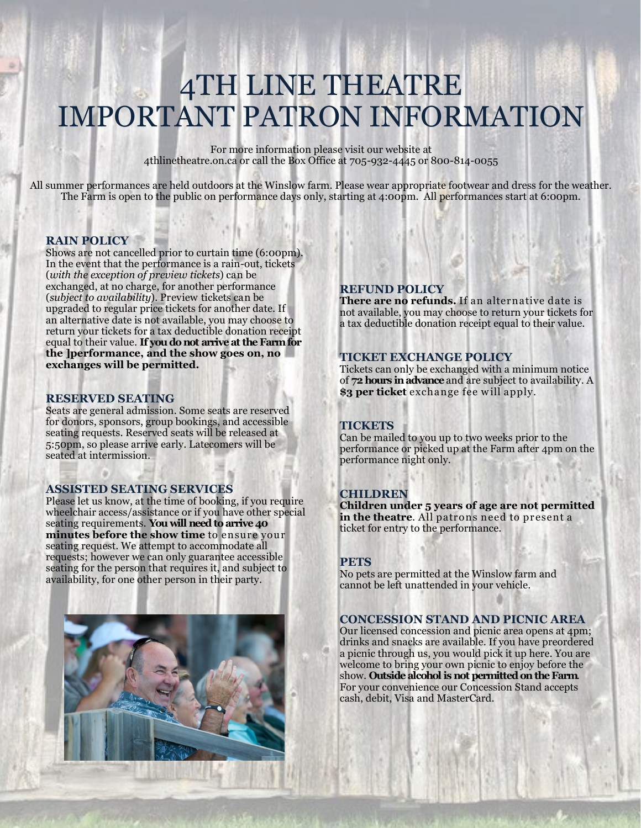## 4TH LINE THEATRE IMPORTANT PATRON INFORMATION

For more information please visit our website at 4thlinetheatre.on.ca or call the Box Office at 705-932-4445 or 800-814-0055

All summer performances are held outdoors at the Winslow farm. Please wear appropriate footwear and dress for the weather. The Farm is open to the public on performance days only, starting at 4:00pm. All performances start at 6:00pm.

### **RAIN POLICY**

Shows are not cancelled prior to curtain time (6:00pm). In the event that the performance is a rain-out, tickets (*with the exception of preview tickets*) can be exchanged, at no charge, for another performance (*subject to availability*). Preview tickets can be upgraded to regular price tickets for another date. If an alternative date is not available, you may choose to return your tickets for a tax deductible donation receipt equal to their value. **If you do not arrive at the Farm for the ]performance, and the show goes on, no exchanges will be permitted.**

### **RESERVED SEATING**

Seats are general admission. Some seats are reserved for donors, sponsors, group bookings, and accessible seating requests. Reserved seats will be released at 5:50pm, so please arrive early. Latecomers will be seated at intermission.

### **ASSISTED SEATING SERVICES**

Please let us know, at the time of booking, if you require wheelchair access/assistance or if you have other special seating requirements. **You will need to arrive 40 minutes before the show time** to ensure your seating request. We attempt to accommodate all requests; however we can only guarantee accessible seating for the person that requires it, and subject to availability, for one other person in their party.



### **REFUND POLICY**

**There are no refunds.** If an alternative date is not available, you may choose to return your tickets for a tax deductible donation receipt equal to their value.

### **TICKET EXCHANGE POLICY**

Tickets can only be exchanged with a minimum notice of **72 hours in advance** and are subject to availability. A **\$3 per ticket** exchange fee will apply.

### **TICKETS**

Can be mailed to you up to two weeks prior to the performance or picked up at the Farm after 4pm on the performance night only.

### **CHILDREN**

**Children under 5 years of age are not permitted**  in the theatre. All patrons need to present a ticket for entry to the performance.

### **PETS**

No pets are permitted at the Winslow farm and cannot be left unattended in your vehicle.

### **CONCESSION STAND AND PICNIC AREA**

Our licensed concession and picnic area opens at 4pm; drinks and snacks are available. If you have preordered a picnic through us, you would pick it up here. You are welcome to bring your own picnic to enjoy before the show. **Outside alcohol is not permitted on the Farm**. For your convenience our Concession Stand accepts cash, debit, Visa and MasterCard.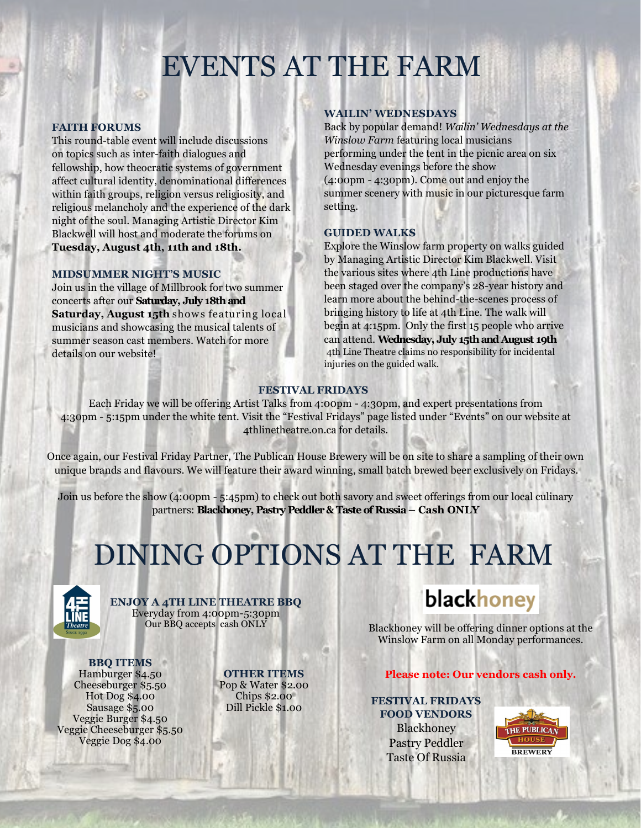## EVENTS AT THE FARM

### **FAITH FORUMS**

This round-table event will include discussions on topics such as inter-faith dialogues and fellowship, how theocratic systems of government affect cultural identity, denominational differences within faith groups, religion versus religiosity, and religious melancholy and the experience of the dark night of the soul. Managing Artistic Director Kim Blackwell will host and moderate the forums on **Tuesday, August 4th, 11th and 18th.**

### **MIDSUMMER NIGHT'S MUSIC**

Join us in the village of Millbrook for two summer concerts after our **Saturday, July 18th and Saturday, August 15th** shows featuring local musicians and showcasing the musical talents of summer season cast members. Watch for more details on our website!

### **WAILIN' WEDNESDAYS**

Back by popular demand! *Wailin' Wednesdays at the Winslow Farm* featuring local musicians performing under the tent in the picnic area on six Wednesday evenings before the show (4:00pm - 4:30pm). Come out and enjoy the summer scenery with music in our picturesque farm setting.

### **GUIDED WALKS**

Explore the Winslow farm property on walks guided by Managing Artistic Director Kim Blackwell. Visit the various sites where 4th Line productions have been staged over the company's 28-year history and learn more about the behind-the-scenes process of bringing history to life at 4th Line. The walk will begin at 4:15pm. Only the first 15 people who arrive can attend. **Wednesday, July 15th and August 19th** 4th Line Theatre claims no responsibility for incidental injuries on the guided walk.

### **FESTIVAL FRIDAYS**

Each Friday we will be offering Artist Talks from 4:00pm - 4:30pm, and expert presentations from 4:30pm - 5:15pm under the white tent. Visit the "Festival Fridays" page listed under "Events" on our website at 4thlinetheatre.on.ca for details.

Once again, our Festival Friday Partner, The Publican House Brewery will be on site to share a sampling of their own unique brands and flavours. We will feature their award winning, small batch brewed beer exclusively on Fridays.

Join us before the show (4:00pm - 5:45pm) to check out both savory and sweet offerings from our local culinary partners: **Blackhoney, Pastry Peddler & Taste of Russia – Cash ONLY**

## DINING OPTIONS AT THE FARM



**ENJOY A 4TH LINE THEATRE BBQ** Everyday from 4:00pm-5:30pm

**BBQ ITEMS** Hamburger \$4.50 Cheeseburger \$5.50 Hot Dog \$4.00 Sausage \$5.00 Veggie Burger \$4.50 Veggie Cheeseburger \$5.50 Veggie Dog \$4.00

**OTHER ITEMS** Pop & Water \$2.00 Chips \$2.00 Dill Pickle \$1.00

### blackhoney

Blackhoney will be offering dinner options at the Winslow Farm on all Monday performances.

### **Please note: Our vendors cash only.**

**FESTIVAL FRIDAYS FOOD VENDORS** Blackhoney Pastry Peddler Taste Of Russia

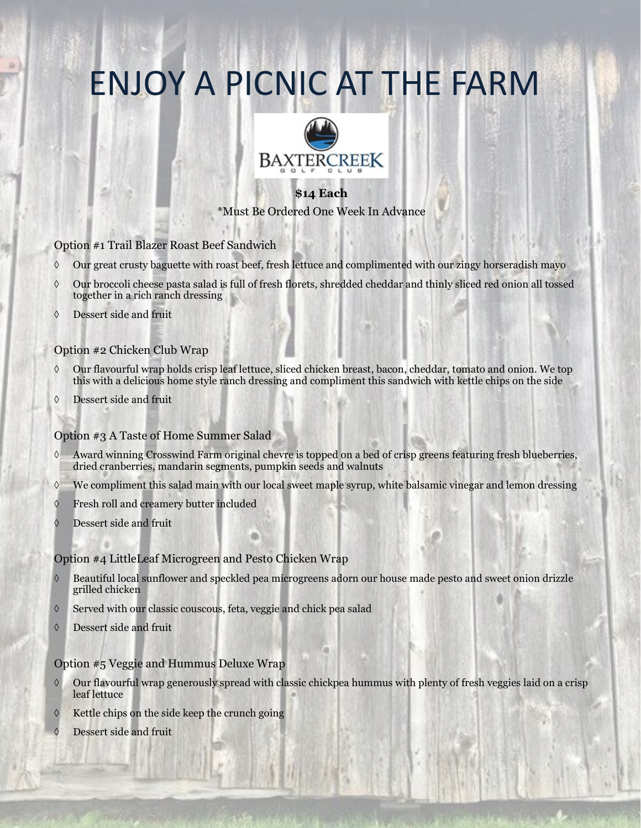## ENJOY A PICNIC AT THE FARM



### **\$14 Each** \*Must Be Ordered One Week In Advance

### Option #1 Trail Blazer Roast Beef Sandwich

- Our great crusty baguette with roast beef, fresh lettuce and complimented with our zingy horseradish mayo
- Our broccoli cheese pasta salad is full of fresh florets, shredded cheddar and thinly sliced red onion all tossed together in a rich ranch dressing
- Dessert side and fruit

### Option #2 Chicken Club Wrap

- $\Diamond$  Our flavourful wrap holds crisp leaf lettuce, sliced chicken breast, bacon, cheddar, tomato and onion. We top this with a delicious home style ranch dressing and compliment this sandwich with kettle chips on the side
- Dessert side and fruit

### Option #3 A Taste of Home Summer Salad

- Award winning Crosswind Farm original chevre is topped on a bed of crisp greens featuring fresh blueberries, dried cranberries, mandarin segments, pumpkin seeds and walnuts
- We compliment this salad main with our local sweet maple syrup, white balsamic vinegar and lemon dressing
- $\Diamond$  Fresh roll and creamery butter included
- Dessert side and fruit

### Option #4 LittleLeaf Microgreen and Pesto Chicken Wrap

- Beautiful local sunflower and speckled pea microgreens adorn our house made pesto and sweet onion drizzle grilled chicken
- Served with our classic couscous, feta, veggie and chick pea salad
- Dessert side and fruit

### Option #5 Veggie and Hummus Deluxe Wrap

- Our flavourful wrap generously spread with classic chickpea hummus with plenty of fresh veggies laid on a crisp leaf lettuce
- Kettle chips on the side keep the crunch going
- Dessert side and fruit